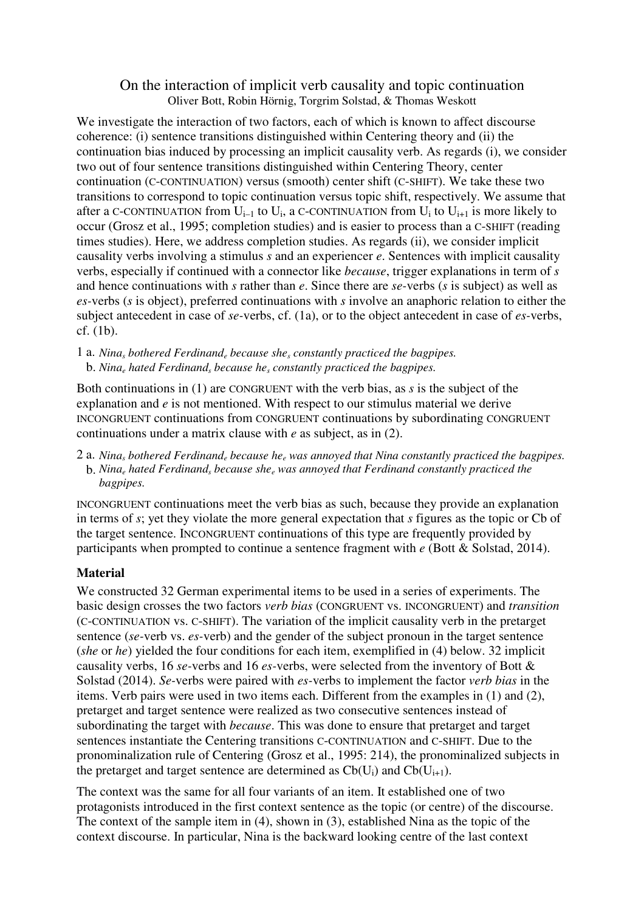## On the interaction of implicit verb causality and topic continuation Oliver Bott, Robin Hörnig, Torgrim Solstad, & Thomas Weskott

We investigate the interaction of two factors, each of which is known to affect discourse coherence: (i) sentence transitions distinguished within Centering theory and (ii) the continuation bias induced by processing an implicit causality verb. As regards (i), we consider two out of four sentence transitions distinguished within Centering Theory, center continuation (C-CONTINUATION) versus (smooth) center shift (C-SHIFT). We take these two transitions to correspond to topic continuation versus topic shift, respectively. We assume that after a C-CONTINUATION from  $U_{i-1}$  to  $U_i$ , a C-CONTINUATION from  $U_i$  to  $U_{i+1}$  is more likely to occur (Grosz et al., 1995; completion studies) and is easier to process than a C-SHIFT (reading times studies). Here, we address completion studies. As regards (ii), we consider implicit causality verbs involving a stimulus *s* and an experiencer *e*. Sentences with implicit causality verbs, especially if continued with a connector like *because*, trigger explanations in term of *s* and hence continuations with *s* rather than *e*. Since there are *se-*verbs (*s* is subject) as well as *es-*verbs (*s* is object), preferred continuations with *s* involve an anaphoric relation to either the subject antecedent in case of *se-*verbs, cf. (1a), or to the object antecedent in case of *es-*verbs, cf. (1b).

1 a. *Nina<sup>s</sup> bothered Ferdinand<sup>e</sup> because she<sup>s</sup> constantly practiced the bagpipes.* b. *Nina<sup>e</sup> hated Ferdinand<sup>s</sup> because he<sup>s</sup> constantly practiced the bagpipes.* 

Both continuations in (1) are CONGRUENT with the verb bias, as *s* is the subject of the explanation and *e* is not mentioned. With respect to our stimulus material we derive INCONGRUENT continuations from CONGRUENT continuations by subordinating CONGRUENT continuations under a matrix clause with *e* as subject, as in (2).

2 a. Nina<sub>s</sub> bothered Ferdinand<sub>e</sub> because he<sub>e</sub> was annoyed that Nina constantly practiced the bagpipes. b. *Nina<sup>e</sup> hated Ferdinand<sup>s</sup> because she<sup>e</sup> was annoyed that Ferdinand constantly practiced the bagpipes.*

INCONGRUENT continuations meet the verb bias as such, because they provide an explanation in terms of *s*; yet they violate the more general expectation that *s* figures as the topic or Cb of the target sentence. INCONGRUENT continuations of this type are frequently provided by participants when prompted to continue a sentence fragment with *e* (Bott & Solstad, 2014).

## **Material**

We constructed 32 German experimental items to be used in a series of experiments. The basic design crosses the two factors *verb bias* (CONGRUENT vs. INCONGRUENT) and *transition* (C-CONTINUATION vs. C-SHIFT). The variation of the implicit causality verb in the pretarget sentence (*se-*verb vs. *es-*verb) and the gender of the subject pronoun in the target sentence (*she* or *he*) yielded the four conditions for each item, exemplified in (4) below. 32 implicit causality verbs, 16 *se-*verbs and 16 *es-*verbs, were selected from the inventory of Bott & Solstad (2014). *Se-*verbs were paired with *es-*verbs to implement the factor *verb bias* in the items. Verb pairs were used in two items each. Different from the examples in (1) and (2), pretarget and target sentence were realized as two consecutive sentences instead of subordinating the target with *because*. This was done to ensure that pretarget and target sentences instantiate the Centering transitions C-CONTINUATION and C-SHIFT. Due to the pronominalization rule of Centering (Grosz et al., 1995: 214), the pronominalized subjects in the pretarget and target sentence are determined as  $Cb(U_i)$  and  $Cb(U_{i+1})$ .

The context was the same for all four variants of an item. It established one of two protagonists introduced in the first context sentence as the topic (or centre) of the discourse. The context of the sample item in (4), shown in (3), established Nina as the topic of the context discourse. In particular, Nina is the backward looking centre of the last context